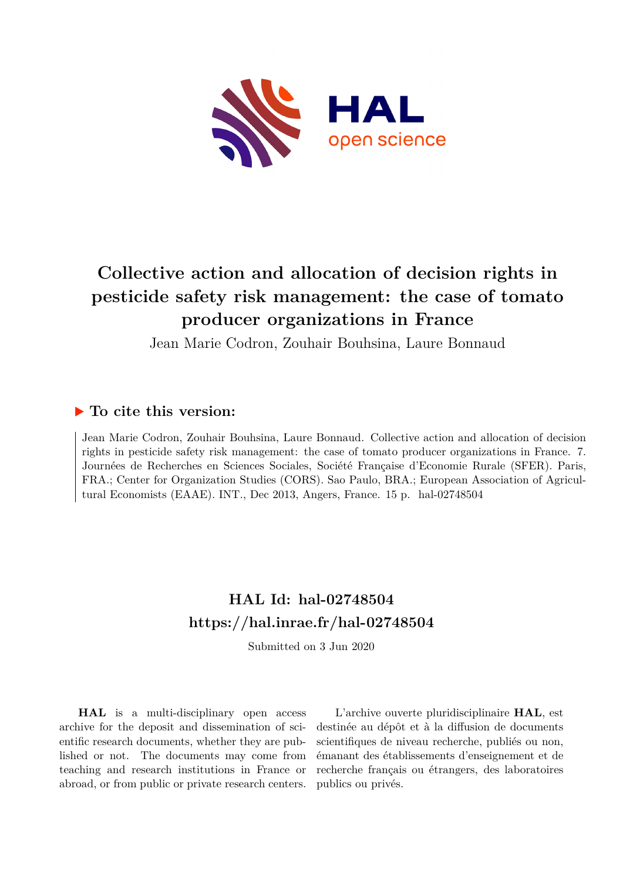

# **Collective action and allocation of decision rights in pesticide safety risk management: the case of tomato producer organizations in France**

Jean Marie Codron, Zouhair Bouhsina, Laure Bonnaud

# **To cite this version:**

Jean Marie Codron, Zouhair Bouhsina, Laure Bonnaud. Collective action and allocation of decision rights in pesticide safety risk management: the case of tomato producer organizations in France. 7. Journées de Recherches en Sciences Sociales, Société Française d'Economie Rurale (SFER). Paris, FRA.; Center for Organization Studies (CORS). Sao Paulo, BRA.; European Association of Agricultural Economists (EAAE). INT., Dec 2013, Angers, France. 15 p. hal-02748504

# **HAL Id: hal-02748504 <https://hal.inrae.fr/hal-02748504>**

Submitted on 3 Jun 2020

**HAL** is a multi-disciplinary open access archive for the deposit and dissemination of scientific research documents, whether they are published or not. The documents may come from teaching and research institutions in France or abroad, or from public or private research centers.

L'archive ouverte pluridisciplinaire **HAL**, est destinée au dépôt et à la diffusion de documents scientifiques de niveau recherche, publiés ou non, émanant des établissements d'enseignement et de recherche français ou étrangers, des laboratoires publics ou privés.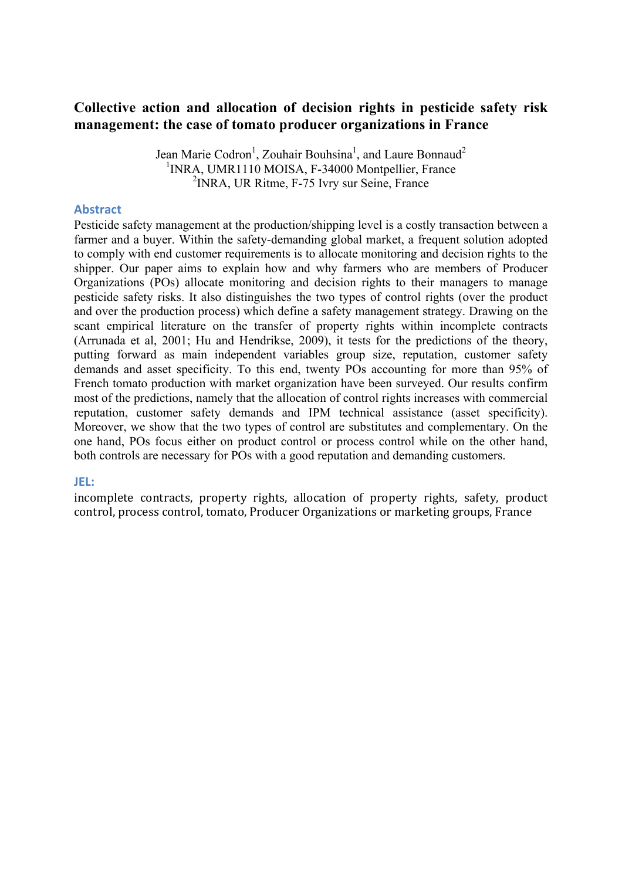# **Collective action and allocation of decision rights in pesticide safety risk management: the case of tomato producer organizations in France**

Jean Marie Codron<sup>1</sup>, Zouhair Bouhsina<sup>1</sup>, and Laure Bonnaud<sup>2</sup> <sup>1</sup>INRA, UMR1110 MOISA, F-34000 Montpellier, France <sup>2</sup> INRA, UR Ritme, F-75 Ivry sur Seine, France

#### **Abstract**

Pesticide safety management at the production/shipping level is a costly transaction between a farmer and a buyer. Within the safety-demanding global market, a frequent solution adopted to comply with end customer requirements is to allocate monitoring and decision rights to the shipper. Our paper aims to explain how and why farmers who are members of Producer Organizations (POs) allocate monitoring and decision rights to their managers to manage pesticide safety risks. It also distinguishes the two types of control rights (over the product and over the production process) which define a safety management strategy. Drawing on the scant empirical literature on the transfer of property rights within incomplete contracts (Arrunada et al, 2001; Hu and Hendrikse, 2009), it tests for the predictions of the theory, putting forward as main independent variables group size, reputation, customer safety demands and asset specificity. To this end, twenty POs accounting for more than 95% of French tomato production with market organization have been surveyed. Our results confirm most of the predictions, namely that the allocation of control rights increases with commercial reputation, customer safety demands and IPM technical assistance (asset specificity). Moreover, we show that the two types of control are substitutes and complementary. On the one hand, POs focus either on product control or process control while on the other hand, both controls are necessary for POs with a good reputation and demanding customers.

#### **JEL:(**

incomplete contracts, property rights, allocation of property rights, safety, product control, process control, tomato, Producer Organizations or marketing groups, France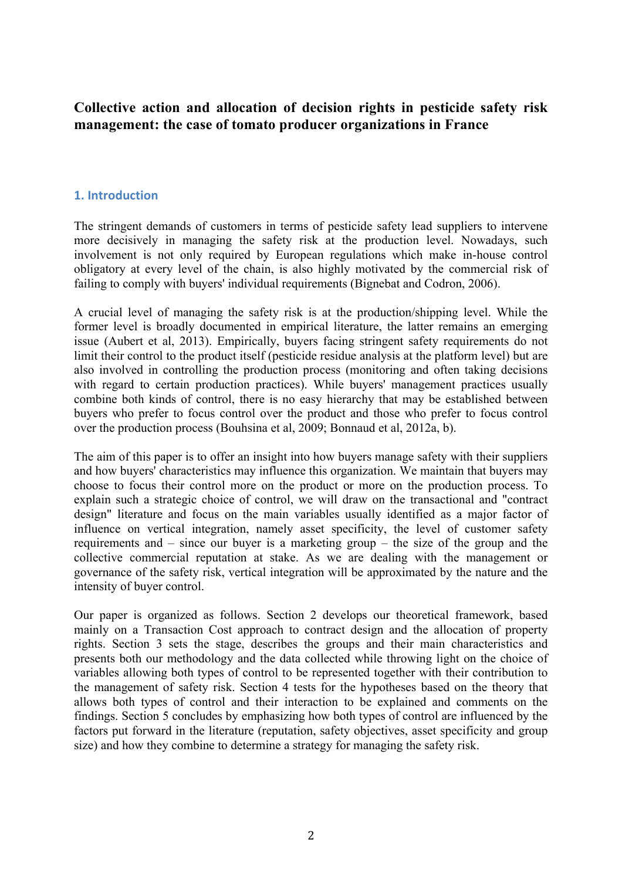**Collective action and allocation of decision rights in pesticide safety risk management: the case of tomato producer organizations in France**

## **1.** Introduction

The stringent demands of customers in terms of pesticide safety lead suppliers to intervene more decisively in managing the safety risk at the production level. Nowadays, such involvement is not only required by European regulations which make in-house control obligatory at every level of the chain, is also highly motivated by the commercial risk of failing to comply with buyers' individual requirements (Bignebat and Codron, 2006).

A crucial level of managing the safety risk is at the production/shipping level. While the former level is broadly documented in empirical literature, the latter remains an emerging issue (Aubert et al, 2013). Empirically, buyers facing stringent safety requirements do not limit their control to the product itself (pesticide residue analysis at the platform level) but are also involved in controlling the production process (monitoring and often taking decisions with regard to certain production practices). While buyers' management practices usually combine both kinds of control, there is no easy hierarchy that may be established between buyers who prefer to focus control over the product and those who prefer to focus control over the production process (Bouhsina et al, 2009; Bonnaud et al, 2012a, b).

The aim of this paper is to offer an insight into how buyers manage safety with their suppliers and how buyers' characteristics may influence this organization. We maintain that buyers may choose to focus their control more on the product or more on the production process. To explain such a strategic choice of control, we will draw on the transactional and "contract design" literature and focus on the main variables usually identified as a major factor of influence on vertical integration, namely asset specificity, the level of customer safety requirements and – since our buyer is a marketing group – the size of the group and the collective commercial reputation at stake. As we are dealing with the management or governance of the safety risk, vertical integration will be approximated by the nature and the intensity of buyer control.

Our paper is organized as follows. Section 2 develops our theoretical framework, based mainly on a Transaction Cost approach to contract design and the allocation of property rights. Section 3 sets the stage, describes the groups and their main characteristics and presents both our methodology and the data collected while throwing light on the choice of variables allowing both types of control to be represented together with their contribution to the management of safety risk. Section 4 tests for the hypotheses based on the theory that allows both types of control and their interaction to be explained and comments on the findings. Section 5 concludes by emphasizing how both types of control are influenced by the factors put forward in the literature (reputation, safety objectives, asset specificity and group size) and how they combine to determine a strategy for managing the safety risk.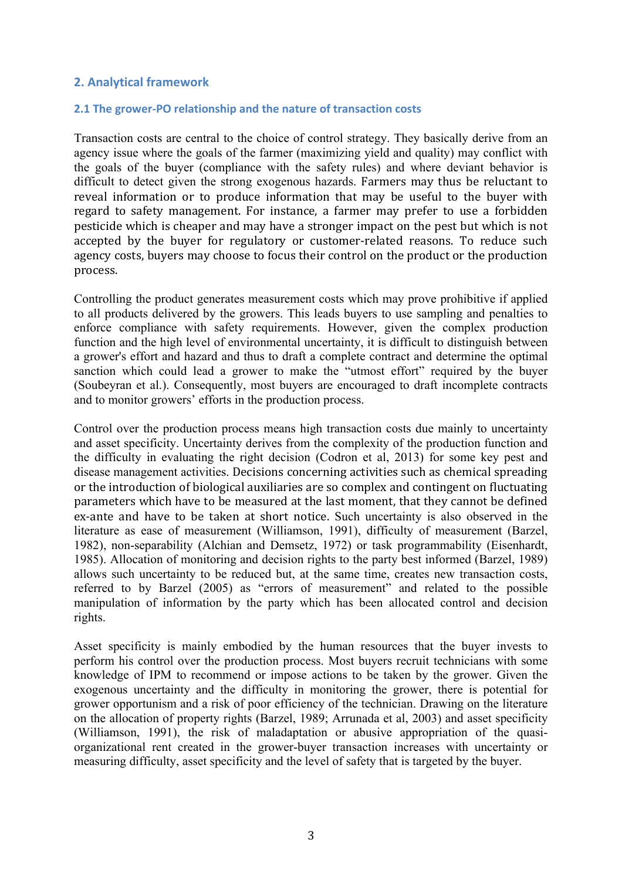### **2. Analytical framework**

#### **2.1 The grower-PO relationship and the nature of transaction costs**

Transaction costs are central to the choice of control strategy. They basically derive from an agency issue where the goals of the farmer (maximizing yield and quality) may conflict with the goals of the buyer (compliance with the safety rules) and where deviant behavior is difficult to detect given the strong exogenous hazards. Farmers may thus be reluctant to reveal information or to produce information that may be useful to the buyer with regard to safety management. For instance, a farmer may prefer to use a forbidden pesticide which is cheaper and may have a stronger impact on the pest but which is not accepted by the buyer for regulatory or customer-related reasons. To reduce such agency costs, buyers may choose to focus their control on the product or the production process.

Controlling the product generates measurement costs which may prove prohibitive if applied to all products delivered by the growers. This leads buyers to use sampling and penalties to enforce compliance with safety requirements. However, given the complex production function and the high level of environmental uncertainty, it is difficult to distinguish between a grower's effort and hazard and thus to draft a complete contract and determine the optimal sanction which could lead a grower to make the "utmost effort" required by the buyer (Soubeyran et al.). Consequently, most buyers are encouraged to draft incomplete contracts and to monitor growers' efforts in the production process.

Control over the production process means high transaction costs due mainly to uncertainty and asset specificity. Uncertainty derives from the complexity of the production function and the difficulty in evaluating the right decision (Codron et al, 2013) for some key pest and disease management activities. Decisions concerning activities such as chemical spreading or the introduction of biological auxiliaries are so complex and contingent on fluctuating parameters which have to be measured at the last moment, that they cannot be defined ex-ante and have to be taken at short notice. Such uncertainty is also observed in the literature as ease of measurement (Williamson, 1991), difficulty of measurement (Barzel, 1982), non-separability (Alchian and Demsetz, 1972) or task programmability (Eisenhardt, 1985). Allocation of monitoring and decision rights to the party best informed (Barzel, 1989) allows such uncertainty to be reduced but, at the same time, creates new transaction costs, referred to by Barzel (2005) as "errors of measurement" and related to the possible manipulation of information by the party which has been allocated control and decision rights.

Asset specificity is mainly embodied by the human resources that the buyer invests to perform his control over the production process. Most buyers recruit technicians with some knowledge of IPM to recommend or impose actions to be taken by the grower. Given the exogenous uncertainty and the difficulty in monitoring the grower, there is potential for grower opportunism and a risk of poor efficiency of the technician. Drawing on the literature on the allocation of property rights (Barzel, 1989; Arrunada et al, 2003) and asset specificity (Williamson, 1991), the risk of maladaptation or abusive appropriation of the quasiorganizational rent created in the grower-buyer transaction increases with uncertainty or measuring difficulty, asset specificity and the level of safety that is targeted by the buyer.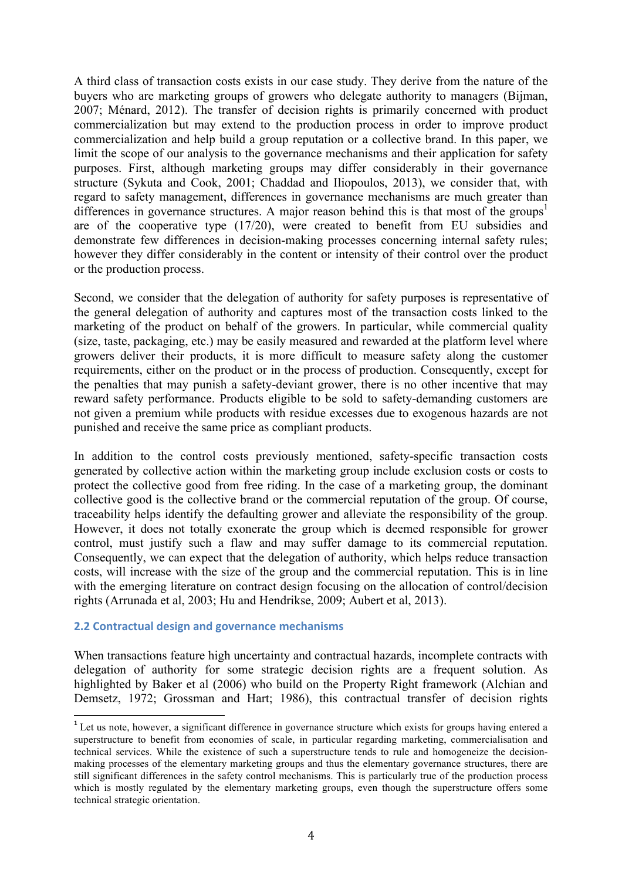A third class of transaction costs exists in our case study. They derive from the nature of the buyers who are marketing groups of growers who delegate authority to managers (Bijman, 2007; Ménard, 2012). The transfer of decision rights is primarily concerned with product commercialization but may extend to the production process in order to improve product commercialization and help build a group reputation or a collective brand. In this paper, we limit the scope of our analysis to the governance mechanisms and their application for safety purposes. First, although marketing groups may differ considerably in their governance structure (Sykuta and Cook, 2001; Chaddad and Iliopoulos, 2013), we consider that, with regard to safety management, differences in governance mechanisms are much greater than differences in governance structures. A major reason behind this is that most of the groups<sup>1</sup> are of the cooperative type (17/20), were created to benefit from EU subsidies and demonstrate few differences in decision-making processes concerning internal safety rules; however they differ considerably in the content or intensity of their control over the product or the production process.

Second, we consider that the delegation of authority for safety purposes is representative of the general delegation of authority and captures most of the transaction costs linked to the marketing of the product on behalf of the growers. In particular, while commercial quality (size, taste, packaging, etc.) may be easily measured and rewarded at the platform level where growers deliver their products, it is more difficult to measure safety along the customer requirements, either on the product or in the process of production. Consequently, except for the penalties that may punish a safety-deviant grower, there is no other incentive that may reward safety performance. Products eligible to be sold to safety-demanding customers are not given a premium while products with residue excesses due to exogenous hazards are not punished and receive the same price as compliant products.

In addition to the control costs previously mentioned, safety-specific transaction costs generated by collective action within the marketing group include exclusion costs or costs to protect the collective good from free riding. In the case of a marketing group, the dominant collective good is the collective brand or the commercial reputation of the group. Of course, traceability helps identify the defaulting grower and alleviate the responsibility of the group. However, it does not totally exonerate the group which is deemed responsible for grower control, must justify such a flaw and may suffer damage to its commercial reputation. Consequently, we can expect that the delegation of authority, which helps reduce transaction costs, will increase with the size of the group and the commercial reputation. This is in line with the emerging literature on contract design focusing on the allocation of control/decision rights (Arrunada et al, 2003; Hu and Hendrikse, 2009; Aubert et al, 2013).

#### **2.2 Contractual design and governance mechanisms**

When transactions feature high uncertainty and contractual hazards, incomplete contracts with delegation of authority for some strategic decision rights are a frequent solution. As highlighted by Baker et al (2006) who build on the Property Right framework (Alchian and Demsetz, 1972; Grossman and Hart; 1986), this contractual transfer of decision rights

<sup>&</sup>lt;sup>1</sup> Let us note, however, a significant difference in governance structure which exists for groups having entered a superstructure to benefit from economies of scale, in particular regarding marketing, commercialisation and technical services. While the existence of such a superstructure tends to rule and homogeneize the decisionmaking processes of the elementary marketing groups and thus the elementary governance structures, there are still significant differences in the safety control mechanisms. This is particularly true of the production process which is mostly regulated by the elementary marketing groups, even though the superstructure offers some technical strategic orientation.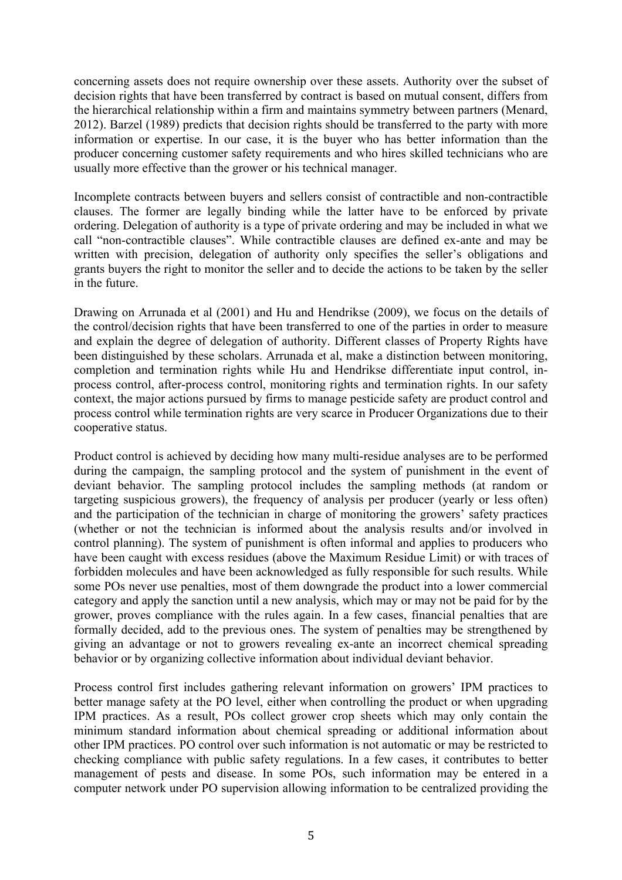concerning assets does not require ownership over these assets. Authority over the subset of decision rights that have been transferred by contract is based on mutual consent, differs from the hierarchical relationship within a firm and maintains symmetry between partners (Menard, 2012). Barzel (1989) predicts that decision rights should be transferred to the party with more information or expertise. In our case, it is the buyer who has better information than the producer concerning customer safety requirements and who hires skilled technicians who are usually more effective than the grower or his technical manager.

Incomplete contracts between buyers and sellers consist of contractible and non-contractible clauses. The former are legally binding while the latter have to be enforced by private ordering. Delegation of authority is a type of private ordering and may be included in what we call "non-contractible clauses". While contractible clauses are defined ex-ante and may be written with precision, delegation of authority only specifies the seller's obligations and grants buyers the right to monitor the seller and to decide the actions to be taken by the seller in the future.

Drawing on Arrunada et al (2001) and Hu and Hendrikse (2009), we focus on the details of the control/decision rights that have been transferred to one of the parties in order to measure and explain the degree of delegation of authority. Different classes of Property Rights have been distinguished by these scholars. Arrunada et al, make a distinction between monitoring, completion and termination rights while Hu and Hendrikse differentiate input control, inprocess control, after-process control, monitoring rights and termination rights. In our safety context, the major actions pursued by firms to manage pesticide safety are product control and process control while termination rights are very scarce in Producer Organizations due to their cooperative status.

Product control is achieved by deciding how many multi-residue analyses are to be performed during the campaign, the sampling protocol and the system of punishment in the event of deviant behavior. The sampling protocol includes the sampling methods (at random or targeting suspicious growers), the frequency of analysis per producer (yearly or less often) and the participation of the technician in charge of monitoring the growers' safety practices (whether or not the technician is informed about the analysis results and/or involved in control planning). The system of punishment is often informal and applies to producers who have been caught with excess residues (above the Maximum Residue Limit) or with traces of forbidden molecules and have been acknowledged as fully responsible for such results. While some POs never use penalties, most of them downgrade the product into a lower commercial category and apply the sanction until a new analysis, which may or may not be paid for by the grower, proves compliance with the rules again. In a few cases, financial penalties that are formally decided, add to the previous ones. The system of penalties may be strengthened by giving an advantage or not to growers revealing ex-ante an incorrect chemical spreading behavior or by organizing collective information about individual deviant behavior.

Process control first includes gathering relevant information on growers' IPM practices to better manage safety at the PO level, either when controlling the product or when upgrading IPM practices. As a result, POs collect grower crop sheets which may only contain the minimum standard information about chemical spreading or additional information about other IPM practices. PO control over such information is not automatic or may be restricted to checking compliance with public safety regulations. In a few cases, it contributes to better management of pests and disease. In some POs, such information may be entered in a computer network under PO supervision allowing information to be centralized providing the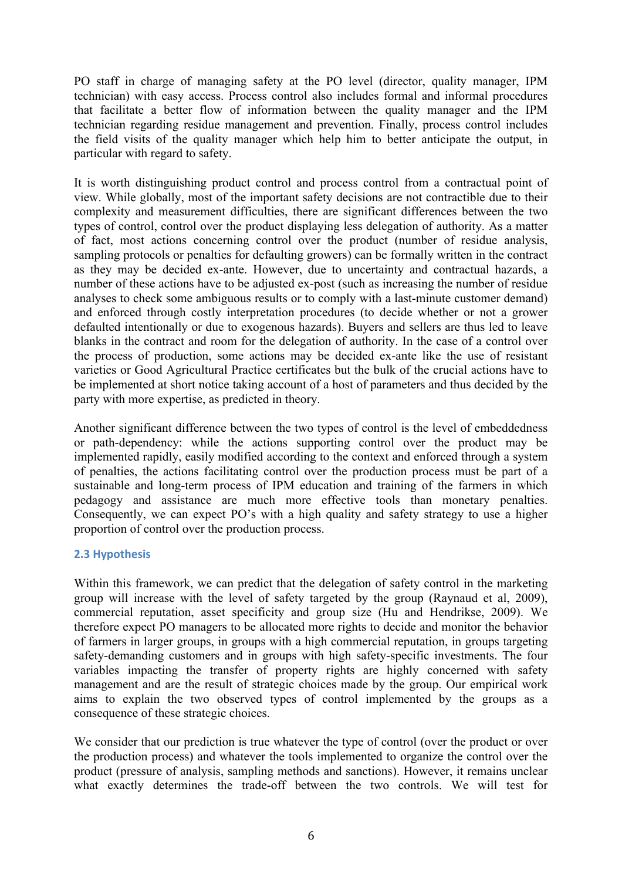PO staff in charge of managing safety at the PO level (director, quality manager, IPM technician) with easy access. Process control also includes formal and informal procedures that facilitate a better flow of information between the quality manager and the IPM technician regarding residue management and prevention. Finally, process control includes the field visits of the quality manager which help him to better anticipate the output, in particular with regard to safety.

It is worth distinguishing product control and process control from a contractual point of view. While globally, most of the important safety decisions are not contractible due to their complexity and measurement difficulties, there are significant differences between the two types of control, control over the product displaying less delegation of authority. As a matter of fact, most actions concerning control over the product (number of residue analysis, sampling protocols or penalties for defaulting growers) can be formally written in the contract as they may be decided ex-ante. However, due to uncertainty and contractual hazards, a number of these actions have to be adjusted ex-post (such as increasing the number of residue analyses to check some ambiguous results or to comply with a last-minute customer demand) and enforced through costly interpretation procedures (to decide whether or not a grower defaulted intentionally or due to exogenous hazards). Buyers and sellers are thus led to leave blanks in the contract and room for the delegation of authority. In the case of a control over the process of production, some actions may be decided ex-ante like the use of resistant varieties or Good Agricultural Practice certificates but the bulk of the crucial actions have to be implemented at short notice taking account of a host of parameters and thus decided by the party with more expertise, as predicted in theory.

Another significant difference between the two types of control is the level of embeddedness or path-dependency: while the actions supporting control over the product may be implemented rapidly, easily modified according to the context and enforced through a system of penalties, the actions facilitating control over the production process must be part of a sustainable and long-term process of IPM education and training of the farmers in which pedagogy and assistance are much more effective tools than monetary penalties. Consequently, we can expect PO's with a high quality and safety strategy to use a higher proportion of control over the production process.

# **2.3 Hypothesis**

Within this framework, we can predict that the delegation of safety control in the marketing group will increase with the level of safety targeted by the group (Raynaud et al, 2009), commercial reputation, asset specificity and group size (Hu and Hendrikse, 2009). We therefore expect PO managers to be allocated more rights to decide and monitor the behavior of farmers in larger groups, in groups with a high commercial reputation, in groups targeting safety-demanding customers and in groups with high safety-specific investments. The four variables impacting the transfer of property rights are highly concerned with safety management and are the result of strategic choices made by the group. Our empirical work aims to explain the two observed types of control implemented by the groups as a consequence of these strategic choices.

We consider that our prediction is true whatever the type of control (over the product or over the production process) and whatever the tools implemented to organize the control over the product (pressure of analysis, sampling methods and sanctions). However, it remains unclear what exactly determines the trade-off between the two controls. We will test for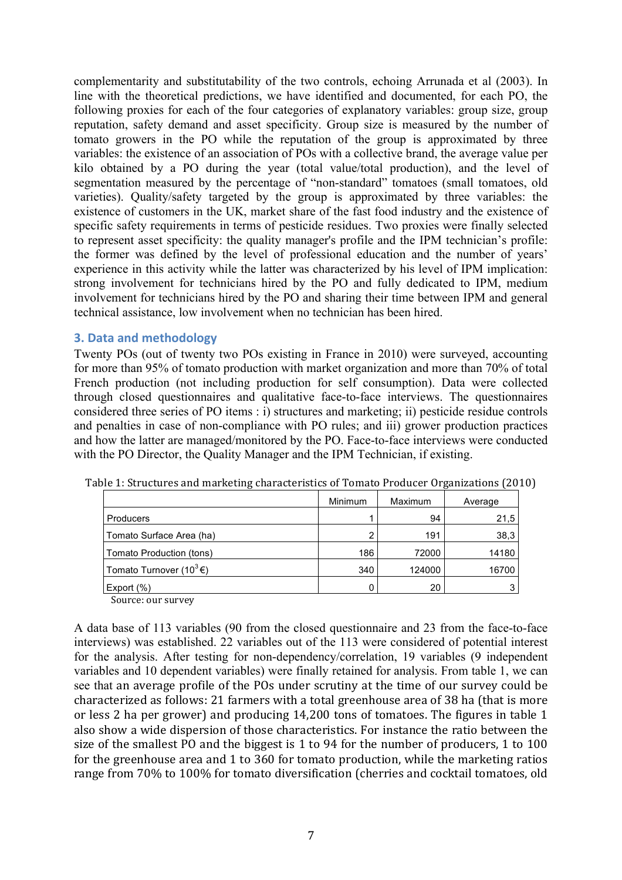complementarity and substitutability of the two controls, echoing Arrunada et al (2003). In line with the theoretical predictions, we have identified and documented, for each PO, the following proxies for each of the four categories of explanatory variables: group size, group reputation, safety demand and asset specificity. Group size is measured by the number of tomato growers in the PO while the reputation of the group is approximated by three variables: the existence of an association of POs with a collective brand, the average value per kilo obtained by a PO during the year (total value/total production), and the level of segmentation measured by the percentage of "non-standard" tomatoes (small tomatoes, old varieties). Quality/safety targeted by the group is approximated by three variables: the existence of customers in the UK, market share of the fast food industry and the existence of specific safety requirements in terms of pesticide residues. Two proxies were finally selected to represent asset specificity: the quality manager's profile and the IPM technician's profile: the former was defined by the level of professional education and the number of years' experience in this activity while the latter was characterized by his level of IPM implication: strong involvement for technicians hired by the PO and fully dedicated to IPM, medium involvement for technicians hired by the PO and sharing their time between IPM and general technical assistance, low involvement when no technician has been hired.

### **3. Data and methodology**

Twenty POs (out of twenty two POs existing in France in 2010) were surveyed, accounting for more than 95% of tomato production with market organization and more than 70% of total French production (not including production for self consumption). Data were collected through closed questionnaires and qualitative face-to-face interviews. The questionnaires considered three series of PO items : i) structures and marketing; ii) pesticide residue controls and penalties in case of non-compliance with PO rules; and iii) grower production practices and how the latter are managed/monitored by the PO. Face-to-face interviews were conducted with the PO Director, the Quality Manager and the IPM Technician, if existing.

|                                               | <b>Minimum</b> | Maximum | Average |
|-----------------------------------------------|----------------|---------|---------|
| Producers                                     |                | 94      | 21,5    |
| Tomato Surface Area (ha)                      | 2              | 191     | 38,3    |
| Tomato Production (tons)                      | 186            | 72000   | 14180   |
| Tomato Turnover (10 <sup>3</sup> $\epsilon$ ) | 340            | 124000  | 16700   |
| Export $(\%)$                                 | 0              | 20      | っ       |

Table 1: Structures and marketing characteristics of Tomato Producer Organizations (2010)

Source: our survey

A data base of 113 variables (90 from the closed questionnaire and 23 from the face-to-face interviews) was established. 22 variables out of the 113 were considered of potential interest for the analysis. After testing for non-dependency/correlation, 19 variables (9 independent variables and 10 dependent variables) were finally retained for analysis. From table 1, we can see that an average profile of the POs under scrutiny at the time of our survey could be characterized as follows: 21 farmers with a total greenhouse area of 38 ha (that is more or less 2 ha per grower) and producing 14,200 tons of tomatoes. The figures in table 1 also show a wide dispersion of those characteristics. For instance the ratio between the size of the smallest PO and the biggest is 1 to 94 for the number of producers, 1 to 100 for the greenhouse area and  $1$  to  $360$  for tomato production, while the marketing ratios range from 70% to 100% for tomato diversification (cherries and cocktail tomatoes, old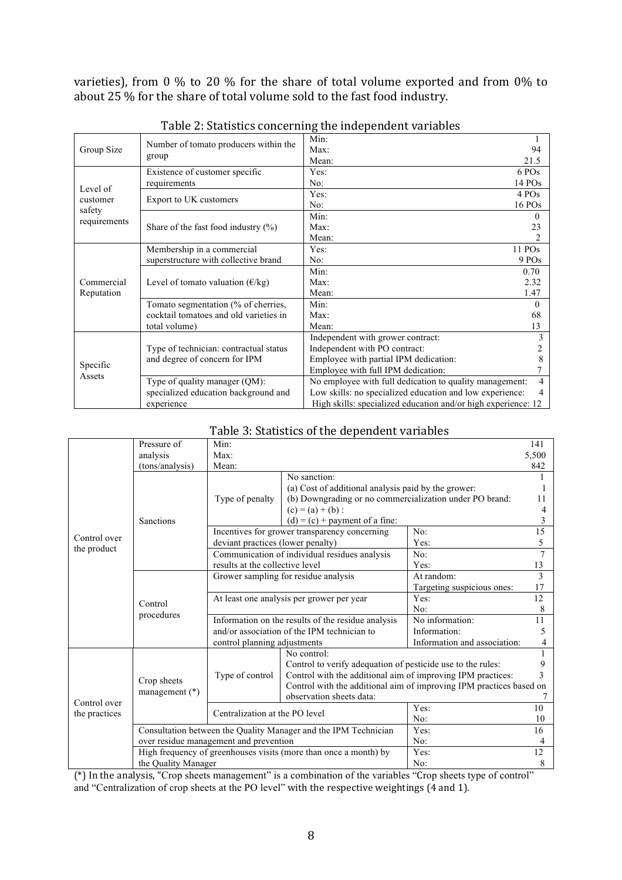varieties), from 0 % to 20 % for the share of total volume exported and from 0% to about 25 % for the share of total volume sold to the fast food industry.

|                    |                                                                                                       | Min:                                                    |          |  |  |
|--------------------|-------------------------------------------------------------------------------------------------------|---------------------------------------------------------|----------|--|--|
| Group Size         | Number of tomato producers within the                                                                 | Max:                                                    | 94       |  |  |
|                    | group                                                                                                 | Mean:                                                   | 21.5     |  |  |
|                    | Existence of customer specific                                                                        | Yes:                                                    | 6 POs    |  |  |
| Level of           | requirements                                                                                          | No:                                                     | $14$ POs |  |  |
| customer           | Export to UK customers                                                                                | Yes:                                                    | 4 POs    |  |  |
| safety             |                                                                                                       | No:                                                     | 16 POs   |  |  |
|                    |                                                                                                       | Min:                                                    | 0        |  |  |
| requirements       | Share of the fast food industry $(\% )$                                                               | Max:                                                    | 23       |  |  |
|                    |                                                                                                       | Mean:                                                   |          |  |  |
|                    | Membership in a commercial                                                                            | Yes:                                                    | $11$ POs |  |  |
|                    | superstructure with collective brand                                                                  | No:                                                     | 9 POs    |  |  |
|                    |                                                                                                       | Min:                                                    | 0.70     |  |  |
| Commercial         | Level of tomato valuation $(\epsilon/\text{kg})$                                                      | Max:                                                    | 2.32     |  |  |
| Reputation         |                                                                                                       | Mean:                                                   | 1.47     |  |  |
|                    | Tomato segmentation (% of cherries,                                                                   | Min:                                                    | 0        |  |  |
|                    | cocktail tomatoes and old varieties in                                                                | Max:                                                    | 68       |  |  |
|                    | total volume)                                                                                         | Mean:                                                   | 13       |  |  |
|                    |                                                                                                       | Independent with grower contract:                       |          |  |  |
|                    | Type of technician: contractual status                                                                | Independent with PO contract:                           |          |  |  |
| Specific<br>Assets | and degree of concern for IPM                                                                         | Employee with partial IPM dedication:                   |          |  |  |
|                    |                                                                                                       | Employee with full IPM dedication:                      |          |  |  |
|                    | Type of quality manager (QM):                                                                         | No employee with full dedication to quality management: | 4        |  |  |
|                    | Low skills: no specialized education and low experience:<br>specialized education background and<br>4 |                                                         |          |  |  |
|                    | High skills: specialized education and/or high experience: 12<br>experience                           |                                                         |          |  |  |

Table 2: Statistics concerning the independent variables

|               | Pressure of                            | Min:                                                             |                                                                     |                              | 141 |  |
|---------------|----------------------------------------|------------------------------------------------------------------|---------------------------------------------------------------------|------------------------------|-----|--|
|               | analysis                               | Max:                                                             |                                                                     |                              |     |  |
|               | (tons/analysis)                        | Mean:                                                            |                                                                     |                              |     |  |
|               |                                        |                                                                  | No sanction:                                                        |                              |     |  |
|               |                                        |                                                                  | (a) Cost of additional analysis paid by the grower:                 |                              |     |  |
|               |                                        | Type of penalty                                                  | (b) Downgrading or no commercialization under PO brand:             |                              | 11  |  |
|               |                                        |                                                                  | $(c) = (a) + (b)$ :                                                 |                              | 4   |  |
|               | Sanctions                              |                                                                  | $(d) = (c) + payment of a fine.$                                    |                              | 3   |  |
|               |                                        |                                                                  | Incentives for grower transparency concerning                       | No:                          | 15  |  |
| Control over  |                                        | deviant practices (lower penalty)                                |                                                                     | Yes:                         | 5   |  |
| the product   |                                        |                                                                  | Communication of individual residues analysis                       | No:                          | 7   |  |
|               |                                        | results at the collective level                                  |                                                                     | Yes:                         | 13  |  |
|               |                                        | Grower sampling for residue analysis                             |                                                                     | At random:                   | 3   |  |
|               | Control<br>procedures                  |                                                                  |                                                                     | Targeting suspicious ones:   | 17  |  |
|               |                                        | At least one analysis per grower per year                        |                                                                     | Yes:                         | 12  |  |
|               |                                        |                                                                  |                                                                     | No:                          | 8   |  |
|               |                                        | Information on the results of the residue analysis               |                                                                     | No information:              | 11  |  |
|               |                                        | and/or association of the IPM technician to                      |                                                                     | Information:                 | 5   |  |
|               |                                        | control planning adjustments                                     |                                                                     | Information and association: | 4   |  |
|               |                                        |                                                                  | No control:                                                         |                              |     |  |
|               |                                        |                                                                  | Control to verify adequation of pesticide use to the rules:         |                              | 9   |  |
|               | Crop sheets                            | Type of control                                                  | Control with the additional aim of improving IPM practices:         |                              |     |  |
|               | management (*)                         |                                                                  | Control with the additional aim of improving IPM practices based on |                              |     |  |
| Control over  |                                        |                                                                  | observation sheets data:                                            |                              |     |  |
| the practices |                                        | Centralization at the PO level                                   |                                                                     | Yes:                         | 10  |  |
|               |                                        |                                                                  |                                                                     | No:                          | 10  |  |
|               |                                        | Consultation between the Quality Manager and the IPM Technician  | Yes:                                                                | 16                           |     |  |
|               | over residue management and prevention | No:                                                              | 4                                                                   |                              |     |  |
|               |                                        | High frequency of greenhouses visits (more than once a month) by | Yes:                                                                | 12                           |     |  |
|               | the Quality Manager                    |                                                                  | No:                                                                 | 8                            |     |  |
|               |                                        |                                                                  |                                                                     |                              |     |  |

# Table 3: Statistics of the dependent variables

(\*) In the analysis, "Crop sheets management" is a combination of the variables "Crop sheets type of control" and "Centralization of crop sheets at the PO level" with the respective weightings  $(4 \text{ and } 1)$ .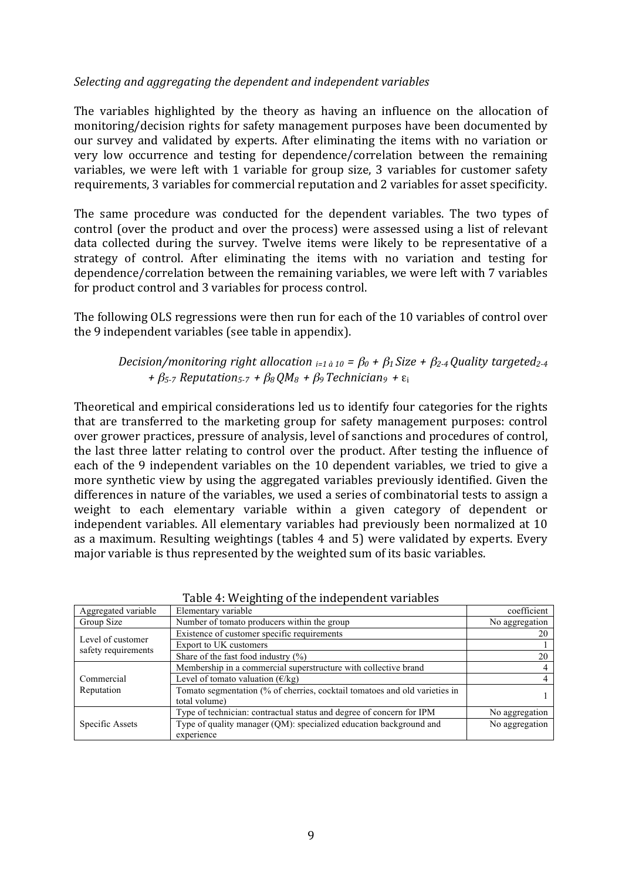# *Selecting)and)aggregating)the)dependent)and)independent)variables*

The variables highlighted by the theory as having an influence on the allocation of monitoring/decision rights for safety management purposes have been documented by our survey and validated by experts. After eliminating the items with no variation or very low occurrence and testing for dependence/correlation between the remaining variables, we were left with 1 variable for group size, 3 variables for customer safety requirements, 3 variables for commercial reputation and 2 variables for asset specificity.

The same procedure was conducted for the dependent variables. The two types of control (over the product and over the process) were assessed using a list of relevant data collected during the survey. Twelve items were likely to be representative of a strategy of control. After eliminating the items with no variation and testing for dependence/correlation between the remaining variables, we were left with 7 variables for product control and 3 variables for process control.

The following OLS regressions were then run for each of the 10 variables of control over the 9 independent variables (see table in appendix).

# *Decision/monitoring right allocation*  $_{i=1\text{ }\hat{a}10}$  =  $\beta_0$  +  $\beta_1$  *Size* +  $\beta_2$ -4 *Quality targeted*<sub>2-4</sub> *+)*β*5=7))Reputation5=7) +)*β*8)QM8) +)*β*9)Technician9) +)*ε<sup>i</sup>

Theoretical and empirical considerations led us to identify four categories for the rights that are transferred to the marketing group for safety management purposes: control over grower practices, pressure of analysis, level of sanctions and procedures of control, the last three latter relating to control over the product. After testing the influence of each of the 9 independent variables on the 10 dependent variables, we tried to give a more synthetic view by using the aggregated variables previously identified. Given the differences in nature of the variables, we used a series of combinatorial tests to assign a weight to each elementary variable within a given category of dependent or independent variables. All elementary variables had previously been normalized at 10 as a maximum. Resulting weightings (tables 4 and 5) were validated by experts. Every major variable is thus represented by the weighted sum of its basic variables.

| Aggregated variable | Elementary variable                                                                         | coefficient    |
|---------------------|---------------------------------------------------------------------------------------------|----------------|
| Group Size          | Number of tomato producers within the group                                                 | No aggregation |
| Level of customer   | Existence of customer specific requirements                                                 | 20             |
| safety requirements | Export to UK customers                                                                      |                |
|                     | Share of the fast food industry $(\% )$                                                     | 20             |
|                     | Membership in a commercial superstructure with collective brand                             |                |
| Commercial          | Level of tomato valuation $(\epsilon/kg)$                                                   |                |
| Reputation          | Tomato segmentation (% of cherries, cocktail tomatoes and old varieties in<br>total volume) |                |
|                     | Type of technician: contractual status and degree of concern for IPM                        | No aggregation |
| Specific Assets     | Type of quality manager (QM): specialized education background and<br>experience            | No aggregation |

Table 4: Weighting of the independent variables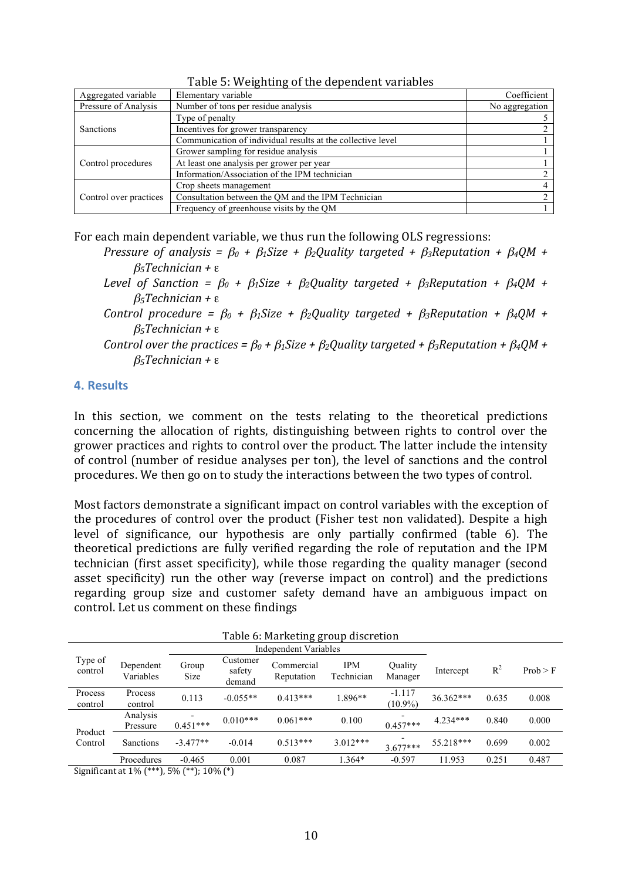| Aggregated variable    | Elementary variable                                         | Coefficient    |
|------------------------|-------------------------------------------------------------|----------------|
| Pressure of Analysis   | Number of tons per residue analysis                         | No aggregation |
|                        | Type of penalty                                             |                |
| Sanctions              | Incentives for grower transparency                          |                |
|                        | Communication of individual results at the collective level |                |
| Control procedures     | Grower sampling for residue analysis                        |                |
|                        | At least one analysis per grower per year                   |                |
|                        | Information/Association of the IPM technician               |                |
|                        | Crop sheets management                                      |                |
| Control over practices | Consultation between the QM and the IPM Technician          |                |
|                        | Frequency of greenhouse visits by the QM                    |                |

Table 5: Weighting of the dependent variables

For each main dependent variable, we thus run the following OLS regressions:

- *Pressure) of) analysis) =)* β*<sup>0</sup> +)* β*1Size) +)* β*2Quality) targeted) +)* β*3Reputation) +)* β*4QM) +)* β*5Technician)+)*ε
- *Level of Sanction =*  $\beta_0$  *+*  $\beta_1$ *Size +*  $\beta_2$ *Quality targeted +*  $\beta_3$ *Reputation +*  $\beta_4$ *QM +* β*5Technician)+)*ε
- *Control procedure =*  $\beta_0$  *+*  $\beta_1$ *Size +*  $\beta_2$ *Quality targeted +*  $\beta_3$ *Reputation +*  $\beta_4$ *QM +* β*5Technician)+)*ε
- *Control over the practices* =  $\beta_0$  *+*  $\beta_1$ *Size* +  $\beta_2$ Quality targeted +  $\beta_3$ *Reputation* +  $\beta_4$ QM + β*5Technician)+)*ε

### **4.(Results**

In this section, we comment on the tests relating to the theoretical predictions concerning the allocation of rights, distinguishing between rights to control over the grower practices and rights to control over the product. The latter include the intensity of control (number of residue analyses per ton), the level of sanctions and the control procedures. We then go on to study the interactions between the two types of control.

Most factors demonstrate a significant impact on control variables with the exception of the procedures of control over the product (Fisher test non validated). Despite a high level of significance, our hypothesis are only partially confirmed (table 6). The theoretical predictions are fully verified regarding the role of reputation and the IPM technician (first asset specificity), while those regarding the quality manager (second asset specificity) run the other way (reverse impact on control) and the predictions regarding group size and customer safety demand have an ambiguous impact on control. Let us comment on these findings

| <b>Independent Variables</b> |                        |               |                              |                          |                          |                        |            |       |          |
|------------------------------|------------------------|---------------|------------------------------|--------------------------|--------------------------|------------------------|------------|-------|----------|
| Type of<br>control           | Dependent<br>Variables | Group<br>Size | Customer<br>safety<br>demand | Commercial<br>Reputation | <b>IPM</b><br>Technician | Quality<br>Manager     | Intercept  | $R^2$ | Prob > F |
| Process<br>control           | Process<br>control     | 0.113         | $-0.055**$                   | $0.413***$               | 1.896**                  | $-1.117$<br>$(10.9\%)$ | 36.362***  | 0.635 | 0.008    |
| Product<br>Control           | Analysis<br>Pressure   | $0.451***$    | $0.010***$                   | $0.061***$               | 0.100                    | $0.457***$             | $4.234***$ | 0.840 | 0.000    |
|                              | <b>Sanctions</b>       | $-3.477**$    | $-0.014$                     | $0.513***$               | $3.012***$               | $3.677***$             | 55.218***  | 0.699 | 0.002    |
|                              | Procedures             | $-0.465$      | 0.001                        | 0.087                    | 1.364*                   | $-0.597$               | 11.953     | 0.251 | 0.487    |

Table 6: Marketing group discretion

Significant at 1% (\*\*\*), 5% (\*\*); 10% (\*)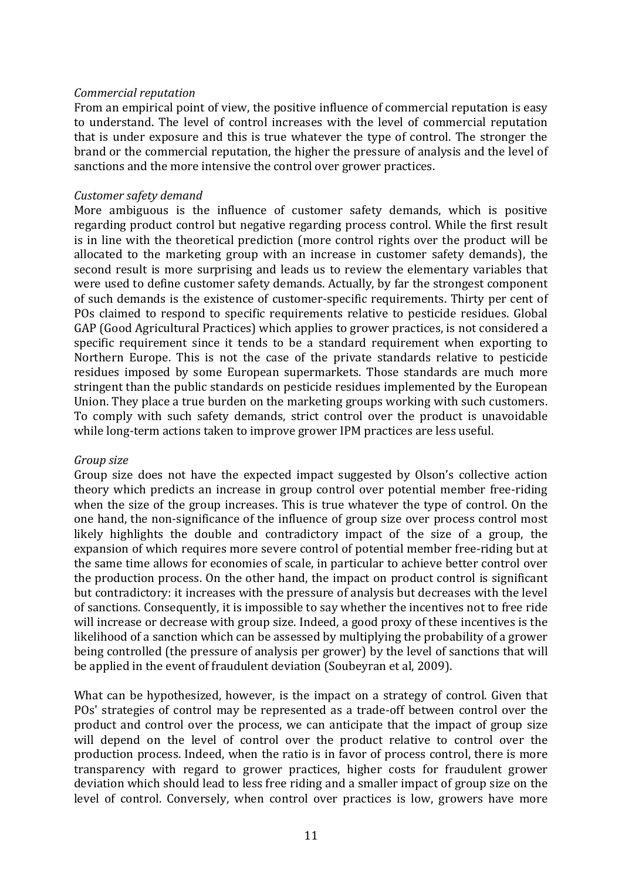#### *Commercial)reputation*

From an empirical point of view, the positive influence of commercial reputation is easy to understand. The level of control increases with the level of commercial reputation that is under exposure and this is true whatever the type of control. The stronger the brand or the commercial reputation, the higher the pressure of analysis and the level of sanctions and the more intensive the control over grower practices.

### *Customer)safety)demand*

More ambiguous is the influence of customer safety demands, which is positive regarding product control but negative regarding process control. While the first result is in line with the theoretical prediction (more control rights over the product will be allocated to the marketing group with an increase in customer safety demands), the second result is more surprising and leads us to review the elementary variables that were used to define customer safety demands. Actually, by far the strongest component of such demands is the existence of customer-specific requirements. Thirty per cent of POs claimed to respond to specific requirements relative to pesticide residues. Global GAP (Good Agricultural Practices) which applies to grower practices, is not considered a specific requirement since it tends to be a standard requirement when exporting to Northern Europe. This is not the case of the private standards relative to pesticide residues imposed by some European supermarkets. Those standards are much more stringent than the public standards on pesticide residues implemented by the European Union. They place a true burden on the marketing groups working with such customers. To comply with such safety demands, strict control over the product is unavoidable while long-term actions taken to improve grower IPM practices are less useful.

#### *Group)size*

Group size does not have the expected impact suggested by Olson's collective action theory which predicts an increase in group control over potential member free-riding when the size of the group increases. This is true whatever the type of control. On the one hand, the non-significance of the influence of group size over process control most likely highlights the double and contradictory impact of the size of a group, the expansion of which requires more severe control of potential member free-riding but at the same time allows for economies of scale, in particular to achieve better control over the production process. On the other hand, the impact on product control is significant but contradictory: it increases with the pressure of analysis but decreases with the level of sanctions. Consequently, it is impossible to say whether the incentives not to free ride will increase or decrease with group size. Indeed, a good proxy of these incentives is the likelihood of a sanction which can be assessed by multiplying the probability of a grower being controlled (the pressure of analysis per grower) by the level of sanctions that will be applied in the event of fraudulent deviation (Soubeyran et al, 2009).

What can be hypothesized, however, is the impact on a strategy of control. Given that POs' strategies of control may be represented as a trade-off between control over the product and control over the process, we can anticipate that the impact of group size will depend on the level of control over the product relative to control over the production process. Indeed, when the ratio is in favor of process control, there is more transparency with regard to grower practices, higher costs for fraudulent grower deviation which should lead to less free riding and a smaller impact of group size on the level of control. Conversely, when control over practices is low, growers have more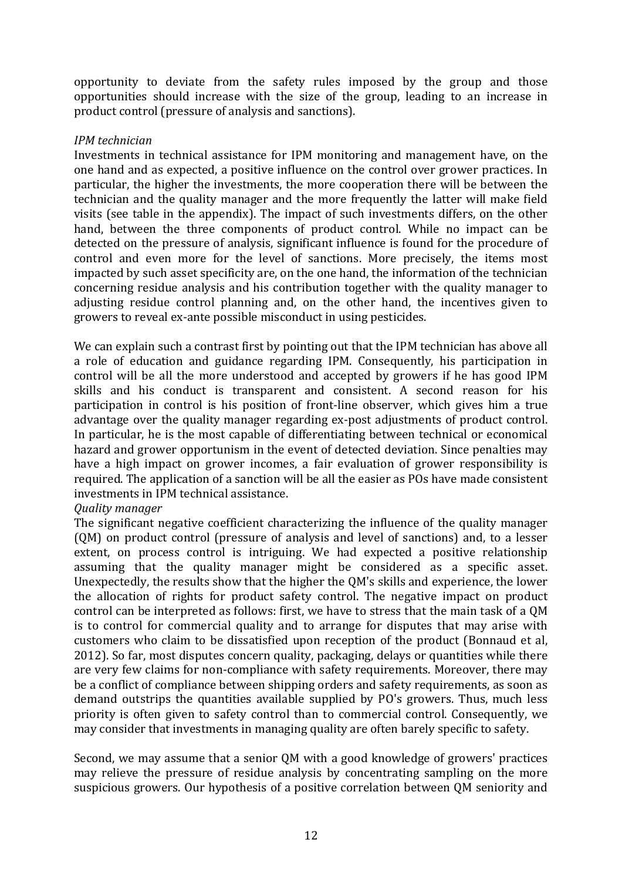opportunity to deviate from the safety rules imposed by the group and those opportunities should increase with the size of the group, leading to an increase in product control (pressure of analysis and sanctions).

### *IPM)technician)*

Investments in technical assistance for IPM monitoring and management have, on the one hand and as expected, a positive influence on the control over grower practices. In particular, the higher the investments, the more cooperation there will be between the technician and the quality manager and the more frequently the latter will make field visits (see table in the appendix). The impact of such investments differs, on the other hand, between the three components of product control. While no impact can be detected on the pressure of analysis, significant influence is found for the procedure of control and even more for the level of sanctions. More precisely, the items most impacted by such asset specificity are, on the one hand, the information of the technician concerning residue analysis and his contribution together with the quality manager to adjusting residue control planning and, on the other hand, the incentives given to growers to reveal ex-ante possible misconduct in using pesticides.

We can explain such a contrast first by pointing out that the IPM technician has above all a role of education and guidance regarding IPM. Consequently, his participation in control will be all the more understood and accepted by growers if he has good IPM skills and his conduct is transparent and consistent. A second reason for his participation in control is his position of front-line observer, which gives him a true advantage over the quality manager regarding ex-post adjustments of product control. In particular, he is the most capable of differentiating between technical or economical hazard and grower opportunism in the event of detected deviation. Since penalties may have a high impact on grower incomes, a fair evaluation of grower responsibility is required. The application of a sanction will be all the easier as POs have made consistent investments in IPM technical assistance.

# *Quality)manager)*

The significant negative coefficient characterizing the influence of the quality manager  $(QM)$  on product control (pressure of analysis and level of sanctions) and, to a lesser extent, on process control is intriguing. We had expected a positive relationship assuming that the quality manager might be considered as a specific asset. Unexpectedly, the results show that the higher the QM's skills and experience, the lower the allocation of rights for product safety control. The negative impact on product control can be interpreted as follows: first, we have to stress that the main task of a QM is to control for commercial quality and to arrange for disputes that may arise with customers who claim to be dissatisfied upon reception of the product (Bonnaud et al, 2012). So far, most disputes concern quality, packaging, delays or quantities while there are very few claims for non-compliance with safety requirements. Moreover, there may be a conflict of compliance between shipping orders and safety requirements, as soon as demand outstrips the quantities available supplied by PO's growers. Thus, much less priority is often given to safety control than to commercial control. Consequently, we may consider that investments in managing quality are often barely specific to safety.

Second, we may assume that a senior QM with a good knowledge of growers' practices may relieve the pressure of residue analysis by concentrating sampling on the more suspicious growers. Our hypothesis of a positive correlation between QM seniority and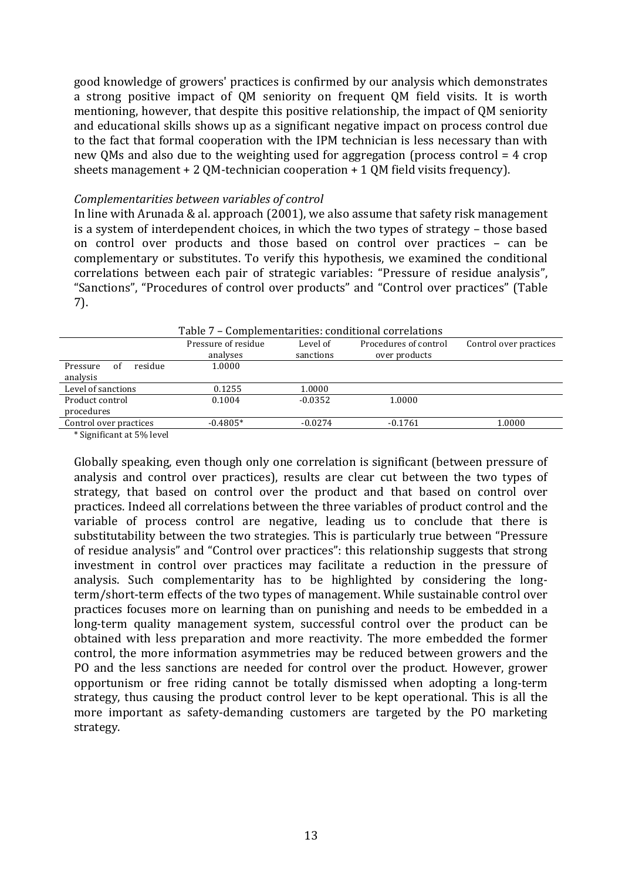good knowledge of growers' practices is confirmed by our analysis which demonstrates a strong positive impact of QM seniority on frequent QM field visits. It is worth mentioning, however, that despite this positive relationship, the impact of OM seniority and educational skills shows up as a significant negative impact on process control due to the fact that formal cooperation with the IPM technician is less necessary than with new QMs and also due to the weighting used for aggregation (process control  $=4$  crop sheets management + 2 QM-technician cooperation  $+1$  QM field visits frequency).

#### *Complementarities between)variables of)control*

In line with Arunada & al. approach (2001), we also assume that safety risk management is a system of interdependent choices, in which the two types of strategy – those based on control over products and those based on control over practices – can be complementary or substitutes. To verify this hypothesis, we examined the conditional correlations between each pair of strategic variables: "Pressure of residue analysis". "Sanctions", "Procedures of control over products" and "Control over practices" (Table 7).\*

|                                | Table 7 – Complementarities: conditional correlations    |           |               |        |  |  |
|--------------------------------|----------------------------------------------------------|-----------|---------------|--------|--|--|
|                                | Pressure of residue<br>Procedures of control<br>Level of |           |               |        |  |  |
|                                | analyses                                                 | sanctions | over products |        |  |  |
| residue<br>Pressure<br>of      | 1.0000                                                   |           |               |        |  |  |
| analysis                       |                                                          |           |               |        |  |  |
| Level of sanctions             | 0.1255                                                   | 1.0000    |               |        |  |  |
| Product control                | 0.1004                                                   | $-0.0352$ | 1.0000        |        |  |  |
| procedures                     |                                                          |           |               |        |  |  |
| Control over practices         | $-0.4805*$                                               | $-0.0274$ | $-0.1761$     | 1.0000 |  |  |
| $*$ Cignificant at $F0/$ lavel |                                                          |           |               |        |  |  |

\*Significant at 5% level

Globally speaking, even though only one correlation is significant (between pressure of analysis and control over practices), results are clear cut between the two types of strategy, that based on control over the product and that based on control over practices. Indeed all correlations between the three variables of product control and the variable of process control are negative, leading us to conclude that there is substitutability between the two strategies. This is particularly true between "Pressure" of residue analysis" and "Control over practices": this relationship suggests that strong investment in control over practices may facilitate a reduction in the pressure of analysis. Such complementarity has to be highlighted by considering the longterm/short-term effects of the two types of management. While sustainable control over practices focuses more on learning than on punishing and needs to be embedded in a long-term quality management system, successful control over the product can be obtained with less preparation and more reactivity. The more embedded the former control, the more information asymmetries may be reduced between growers and the PO and the less sanctions are needed for control over the product. However, grower opportunism or free riding cannot be totally dismissed when adopting a long-term strategy, thus causing the product control lever to be kept operational. This is all the more important as safety-demanding customers are targeted by the PO marketing strategy.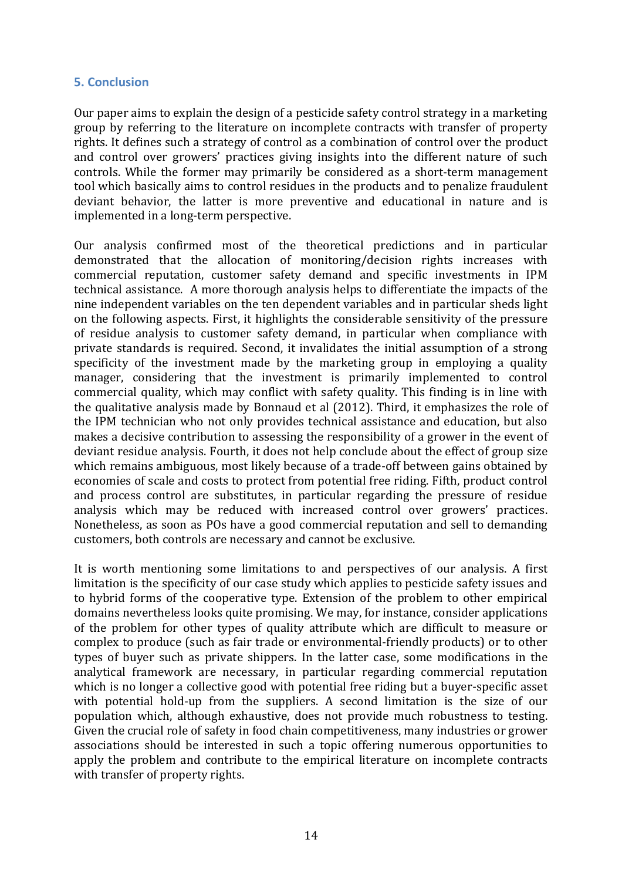### **5.(Conclusion**

Our paper aims to explain the design of a pesticide safety control strategy in a marketing group by referring to the literature on incomplete contracts with transfer of property rights. It defines such a strategy of control as a combination of control over the product and control over growers' practices giving insights into the different nature of such controls. While the former may primarily be considered as a short-term management tool which basically aims to control residues in the products and to penalize fraudulent deviant behavior, the latter is more preventive and educational in nature and is implemented in a long-term perspective.

Our analysis confirmed most of the theoretical predictions and in particular demonstrated that the allocation of monitoring/decision rights increases with commercial reputation, customer safety demand and specific investments in IPM technical assistance. A more thorough analysis helps to differentiate the impacts of the nine independent variables on the ten dependent variables and in particular sheds light on the following aspects. First, it highlights the considerable sensitivity of the pressure of residue analysis to customer safety demand, in particular when compliance with private standards is required. Second, it invalidates the initial assumption of a strong specificity of the investment made by the marketing group in employing a quality manager, considering that the investment is primarily implemented to control commercial quality, which may conflict with safety quality. This finding is in line with the qualitative analysis made by Bonnaud et al (2012). Third, it emphasizes the role of the IPM technician who not only provides technical assistance and education, but also makes a decisive contribution to assessing the responsibility of a grower in the event of deviant residue analysis. Fourth, it does not help conclude about the effect of group size which remains ambiguous, most likely because of a trade-off between gains obtained by economies of scale and costs to protect from potential free riding. Fifth, product control and process control are substitutes, in particular regarding the pressure of residue analysis which may be reduced with increased control over growers' practices. Nonetheless, as soon as POs have a good commercial reputation and sell to demanding customers, both controls are necessary and cannot be exclusive.

It is worth mentioning some limitations to and perspectives of our analysis. A first limitation is the specificity of our case study which applies to pesticide safety issues and to hybrid forms of the cooperative type. Extension of the problem to other empirical domains nevertheless looks quite promising. We may, for instance, consider applications of the problem for other types of quality attribute which are difficult to measure or complex to produce (such as fair trade or environmental-friendly products) or to other types of buyer such as private shippers. In the latter case, some modifications in the analytical framework are necessary, in particular regarding commercial reputation which is no longer a collective good with potential free riding but a buyer-specific asset with potential hold-up from the suppliers. A second limitation is the size of our population which, although exhaustive, does not provide much robustness to testing. Given the crucial role of safety in food chain competitiveness, many industries or grower associations should be interested in such a topic offering numerous opportunities to apply the problem and contribute to the empirical literature on incomplete contracts with transfer of property rights.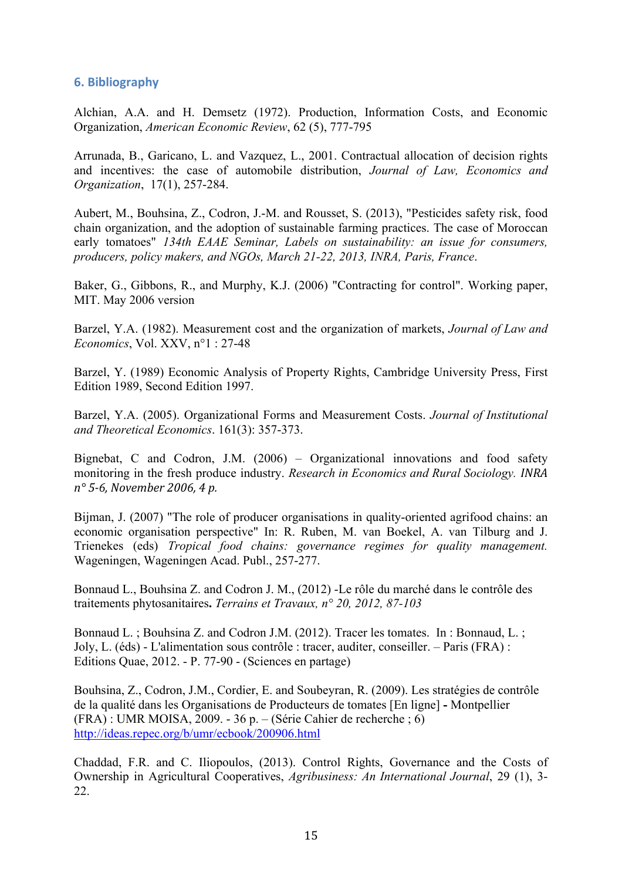## **6.** Bibliography

Alchian, A.A. and H. Demsetz (1972). Production, Information Costs, and Economic Organization, *American Economic Review*, 62 (5), 777-795

Arrunada, B., Garicano, L. and Vazquez, L., 2001. Contractual allocation of decision rights and incentives: the case of automobile distribution, *Journal of Law, Economics and Organization*, 17(1), 257-284.

Aubert, M., Bouhsina, Z., Codron, J.-M. and Rousset, S. (2013), "Pesticides safety risk, food chain organization, and the adoption of sustainable farming practices. The case of Moroccan early tomatoes" *134th EAAE Seminar, Labels on sustainability: an issue for consumers, producers, policy makers, and NGOs, March 21-22, 2013, INRA, Paris, France*.

Baker, G., Gibbons, R., and Murphy, K.J. (2006) "Contracting for control". Working paper, MIT. May 2006 version

Barzel, Y.A. (1982). Measurement cost and the organization of markets, *Journal of Law and Economics*, Vol. XXV, n°1 : 27-48

Barzel, Y. (1989) Economic Analysis of Property Rights, Cambridge University Press, First Edition 1989, Second Edition 1997.

Barzel, Y.A. (2005). Organizational Forms and Measurement Costs. *Journal of Institutional and Theoretical Economics*. 161(3): 357-373.

Bignebat, C and Codron, J.M. (2006) – Organizational innovations and food safety monitoring in the fresh produce industry. *Research in Economics and Rural Sociology. INRA) n°)5=6,)November)2006,)4)p.*

Bijman, J. (2007) "The role of producer organisations in quality-oriented agrifood chains: an economic organisation perspective" In: R. Ruben, M. van Boekel, A. van Tilburg and J. Trienekes (eds) *Tropical food chains: governance regimes for quality management.* Wageningen, Wageningen Acad. Publ., 257-277.

Bonnaud L., Bouhsina Z. and Codron J. M., (2012) -Le rôle du marché dans le contrôle des traitements phytosanitaires**.** *Terrains et Travaux, n° 20, 2012, 87-103*

Bonnaud L. ; Bouhsina Z. and Codron J.M. (2012). Tracer les tomates. In : Bonnaud, L. ; Joly, L. (éds) - L'alimentation sous contrôle : tracer, auditer, conseiller. – Paris (FRA) : Editions Quae, 2012. - P. 77-90 - (Sciences en partage)

Bouhsina, Z., Codron, J.M., Cordier, E. and Soubeyran, R. (2009). Les stratégies de contrôle de la qualité dans les Organisations de Producteurs de tomates [En ligne] **-** Montpellier (FRA) : UMR MOISA, 2009. - 36 p. – (Série Cahier de recherche ; 6) http://ideas.repec.org/b/umr/ecbook/200906.html

Chaddad, F.R. and C. Iliopoulos, (2013). Control Rights, Governance and the Costs of Ownership in Agricultural Cooperatives, *Agribusiness: An International Journal*, 29 (1), 3- 22.